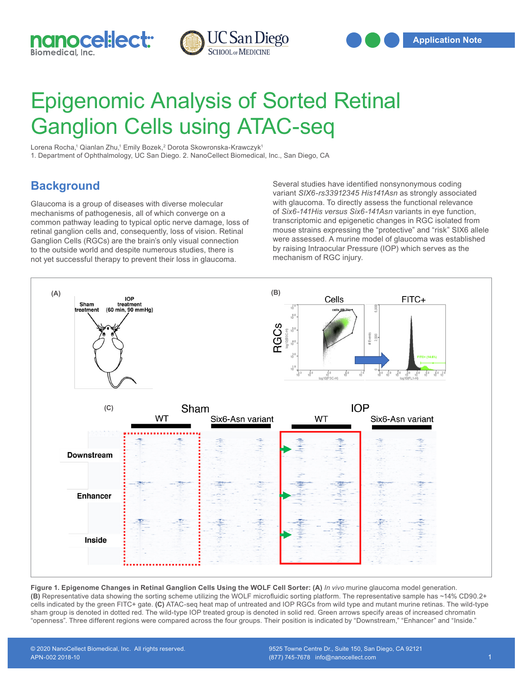



## Epigenomic Analysis of Sorted Retinal Ganglion Cells using ATAC-seq

Lorena Rocha,1 Qianlan Zhu,1 Emily Bozek,<sup>2</sup> Dorota Skowronska-Krawczyk<sup>1</sup> 1. Department of Ophthalmology, UC San Diego. 2. NanoCellect Biomedical, Inc., San Diego, CA

## **Background**

Glaucoma is a group of diseases with diverse molecular mechanisms of pathogenesis, all of which converge on a common pathway leading to typical optic nerve damage, loss of retinal ganglion cells and, consequently, loss of vision. Retinal Ganglion Cells (RGCs) are the brain's only visual connection to the outside world and despite numerous studies, there is not yet successful therapy to prevent their loss in glaucoma.

Several studies have identified nonsynonymous coding variant *SIX6-rs33912345 His141Asn* as strongly associated with glaucoma. To directly assess the functional relevance of *Six6-141His versus Six6-141Asn* variants in eye function, transcriptomic and epigenetic changes in RGC isolated from mouse strains expressing the "protective" and "risk" SIX6 allele were assessed. A murine model of glaucoma was established by raising Intraocular Pressure (IOP) which serves as the mechanism of RGC injury.



**Figure 1. Epigenome Changes in Retinal Ganglion Cells Using the WOLF Cell Sorter: (A)** *In vivo* murine glaucoma model generation. **(B)** Representative data showing the sorting scheme utilizing the WOLF microfluidic sorting platform. The representative sample has ~14% CD90.2+ cells indicated by the green FITC+ gate. **(C)** ATAC-seq heat map of untreated and IOP RGCs from wild type and mutant murine retinas. The wild-type sham group is denoted in dotted red. The wild-type IOP treated group is denoted in solid red. Green arrows specify areas of increased chromatin "openness". Three different regions were compared across the four groups. Their position is indicated by "Downstream," "Enhancer" and "Inside."